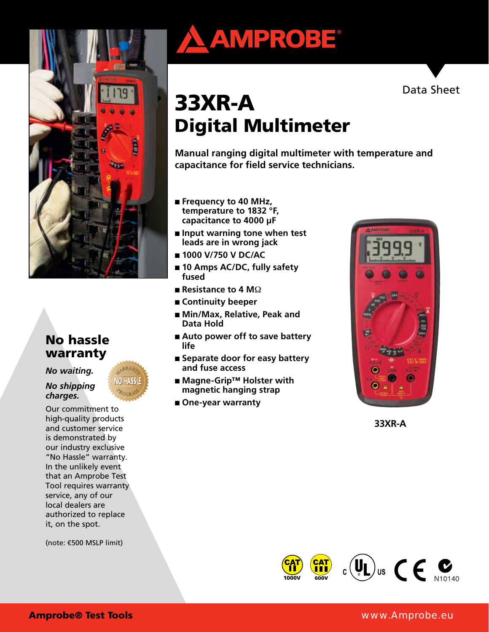

# No hassle warranty

*No waiting.* 

### *No shipping charges.*

Our commitment to high-quality products and customer service is demonstrated by our industry exclusive "No Hassle" warranty. In the unlikely event that an Amprobe Test Tool requires warranty service, any of our local dealers are authorized to replace it, on the spot.

(note: €500 MSLP limit)





# 33XR-A Digital Multimeter

**Manual ranging digital multimeter with temperature and capacitance for field service technicians.**

- **Frequency to 40 MHz**, **temperature to 1832 °F, capacitance to 4000 μF**
- **Input warning tone when test leads are in wrong jack**
- **1000 V/750 V DC/AC**
- 10 Amps AC/DC, fully safety **fused**
- **Resistance to 4 M**<sup>2</sup>
- **Continuity beeper**
- Min/Max, Relative, Peak and **Data Hold**
- Auto power off to save battery **life**
- Separate door for easy battery **and fuse access**
- Magne-Grip<sup>™</sup> Holster with **magnetic hanging strap**
- One-year warranty



**33XR-A**



### Amprobe® Test Tools www.Amprobe.eu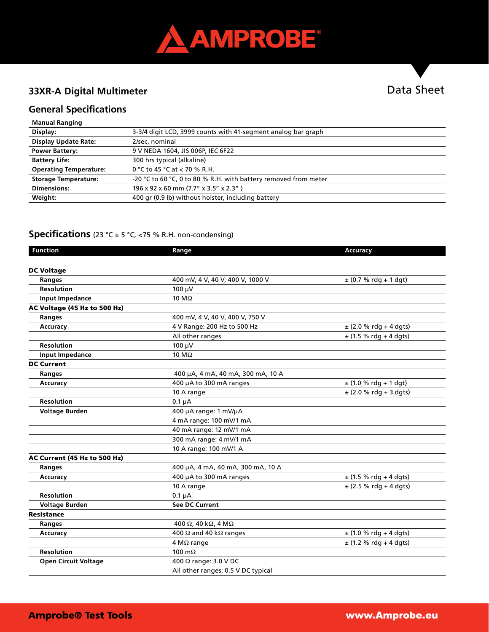

# **33XR-A Digital Multimeter**

# Data Sheet

# **General Specifications**

| <b>Manual Ranging</b> |
|-----------------------|
|                       |

| Display:                      | 3-3/4 digit LCD, 3999 counts with 41-segment analog bar graph   |
|-------------------------------|-----------------------------------------------------------------|
| <b>Display Update Rate:</b>   | 2/sec, nominal                                                  |
| <b>Power Battery:</b>         | 9 V NEDA 1604, JIS 006P, IEC 6F22                               |
| <b>Battery Life:</b>          | 300 hrs typical (alkaline)                                      |
| <b>Operating Temperature:</b> | 0 °C to 45 °C at $<$ 70 % R.H.                                  |
| <b>Storage Temperature:</b>   | -20 °C to 60 °C, 0 to 80 % R.H. with battery removed from meter |
| <b>Dimensions:</b>            | 196 x 92 x 60 mm (7.7" x 3.5" x 2.3")                           |
| Weight:                       | 400 gr (0.9 lb) without holster, including battery              |

### **Specifications** (23 °C ± 5 °C, <75 % R.H. non-condensing)

| <b>Function</b>              | Range                                 | Accuracy                   |
|------------------------------|---------------------------------------|----------------------------|
|                              |                                       |                            |
| <b>DC Voltage</b>            |                                       |                            |
| <b>Ranges</b>                | 400 mV, 4 V, 40 V, 400 V, 1000 V      | $\pm$ (0.7 % rdg + 1 dgt)  |
| <b>Resolution</b>            | 100 µV                                |                            |
| <b>Input Impedance</b>       | 10 M $\Omega$                         |                            |
| AC Voltage (45 Hz to 500 Hz) |                                       |                            |
| Ranges                       | 400 mV, 4 V, 40 V, 400 V, 750 V       |                            |
| Accuracy                     | 4 V Range: 200 Hz to 500 Hz           | $\pm$ (2.0 % rdg + 4 dgts) |
|                              | All other ranges                      | $\pm$ (1.5 % rdg + 4 dgts) |
| <b>Resolution</b>            | 100 µV                                |                            |
| <b>Input Impedance</b>       | 10 M $\Omega$                         |                            |
| <b>DC Current</b>            |                                       |                            |
| Ranges                       | 400 µA, 4 mA, 40 mA, 300 mA, 10 A     |                            |
| Accuracy                     | 400 µA to 300 mA ranges               | $\pm$ (1.0 % rdg + 1 dgt)  |
|                              | 10 A range                            | $\pm$ (2.0 % rdg + 3 dgts) |
| <b>Resolution</b>            | $0.1 \mu A$                           |                            |
| <b>Voltage Burden</b>        | 400 µA range: 1 mV/µA                 |                            |
|                              | 4 mA range: 100 mV/1 mA               |                            |
|                              | 40 mA range: 12 mV/1 mA               |                            |
|                              | 300 mA range: 4 mV/1 mA               |                            |
|                              | 10 A range: 100 mV/1 A                |                            |
| AC Current (45 Hz to 500 Hz) |                                       |                            |
| <b>Ranges</b>                | 400 μA, 4 mA, 40 mA, 300 mA, 10 A     |                            |
| Accuracy                     | 400 µA to 300 mA ranges               | $\pm$ (1.5 % rdg + 4 dgts) |
|                              | 10 A range                            | $\pm$ (2.5 % rdg + 4 dgts) |
| <b>Resolution</b>            | $0.1 \mu A$                           |                            |
| <b>Voltage Burden</b>        | <b>See DC Current</b>                 |                            |
| <b>Resistance</b>            |                                       |                            |
| Ranges                       | 400 Ω, 40 kΩ, 4 MΩ                    |                            |
| Accuracy                     | 400 $\Omega$ and 40 k $\Omega$ ranges | $\pm$ (1.0 % rdg + 4 dgts) |
|                              | 4 M $\Omega$ range                    | $\pm$ (1.2 % rdg + 4 dgts) |
| <b>Resolution</b>            | 100 $m\Omega$                         |                            |
| <b>Open Circuit Voltage</b>  | 400 Ω range: 3.0 V DC                 |                            |
|                              | All other ranges: 0.5 V DC typical    |                            |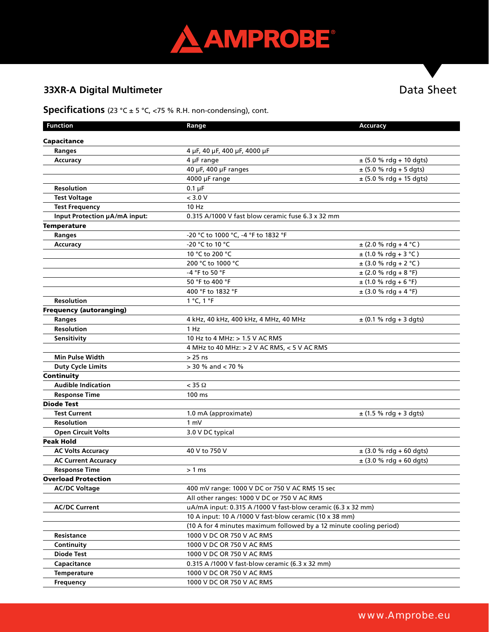

# **33XR-A Digital Multimeter** Data Sheet

### **Specifications** (23 °C ± 5 °C, <75 % R.H. non-condensing), cont.

| <b>Function</b>                | Range                                                               | Accuracy                    |  |  |
|--------------------------------|---------------------------------------------------------------------|-----------------------------|--|--|
| Capacitance                    |                                                                     |                             |  |  |
| <b>Ranges</b>                  | 4 µF, 40 µF, 400 µF, 4000 µF                                        |                             |  |  |
| Accuracy                       | $4 \mu$ F range                                                     | $\pm$ (5.0 % rdg + 10 dgts) |  |  |
|                                | 40 µF, 400 µF ranges                                                | $\pm$ (5.0 % rdg + 5 dgts)  |  |  |
|                                | 4000 µF range                                                       | $\pm$ (5.0 % rdg + 15 dgts) |  |  |
| <b>Resolution</b>              | $0.1 \mu F$                                                         |                             |  |  |
| <b>Test Voltage</b>            | < 3.0 V                                                             |                             |  |  |
| <b>Test Frequency</b>          | 10 Hz                                                               |                             |  |  |
| Input Protection µA/mA input:  | 0.315 A/1000 V fast blow ceramic fuse 6.3 x 32 mm                   |                             |  |  |
| <b>Temperature</b>             |                                                                     |                             |  |  |
| Ranges                         | -20 °C to 1000 °C, -4 °F to 1832 °F                                 |                             |  |  |
| Accuracy                       | -20 °C to 10 °C                                                     | $\pm$ (2.0 % rdg + 4 °C)    |  |  |
|                                | 10 °C to 200 °C                                                     | $±(1.0 %rdg + 3 °C)$        |  |  |
|                                | 200 °C to 1000 °C                                                   | $\pm$ (3.0 % rdg + 2 °C)    |  |  |
|                                | -4 °F to 50 °F                                                      | $\pm$ (2.0 % rdg + 8 °F)    |  |  |
|                                | 50 °F to 400 °F                                                     | $\pm$ (1.0 % rdg + 6 °F)    |  |  |
|                                | 400 °F to 1832 °F                                                   | $\pm$ (3.0 % rdg + 4 °F)    |  |  |
| <b>Resolution</b>              | 1 °C, 1 °F                                                          |                             |  |  |
| <b>Frequency (autoranging)</b> |                                                                     |                             |  |  |
| <b>Ranges</b>                  | 4 kHz, 40 kHz, 400 kHz, 4 MHz, 40 MHz                               | $\pm$ (0.1 % rdg + 3 dgts)  |  |  |
| <b>Resolution</b>              | 1 Hz                                                                |                             |  |  |
| Sensitivity                    | 10 Hz to 4 MHz: > 1.5 V AC RMS                                      |                             |  |  |
|                                | 4 MHz to 40 MHz: > 2 V AC RMS, < 5 V AC RMS                         |                             |  |  |
| <b>Min Pulse Width</b>         | $> 25$ ns                                                           |                             |  |  |
| <b>Duty Cycle Limits</b>       | > 30 % and < 70 %                                                   |                             |  |  |
| Continuity                     |                                                                     |                             |  |  |
| <b>Audible Indication</b>      | $<$ 35 $\Omega$                                                     |                             |  |  |
| <b>Response Time</b>           | 100 ms                                                              |                             |  |  |
| <b>Diode Test</b>              |                                                                     |                             |  |  |
| <b>Test Current</b>            | 1.0 mA (approximate)                                                | $\pm$ (1.5 % rdg + 3 dgts)  |  |  |
| <b>Resolution</b>              | 1 mV                                                                |                             |  |  |
| <b>Open Circuit Volts</b>      | 3.0 V DC typical                                                    |                             |  |  |
| <b>Peak Hold</b>               |                                                                     |                             |  |  |
| <b>AC Volts Accuracy</b>       | 40 V to 750 V                                                       | $\pm$ (3.0 % rdg + 60 dgts) |  |  |
| <b>AC Current Accuracy</b>     |                                                                     | $\pm$ (3.0 % rdg + 60 dgts) |  |  |
| <b>Response Time</b>           | > 1 ms                                                              |                             |  |  |
| <b>Overload Protection</b>     |                                                                     |                             |  |  |
| <b>AC/DC Voltage</b>           | 400 mV range: 1000 V DC or 750 V AC RMS 15 sec                      |                             |  |  |
|                                | All other ranges: 1000 V DC or 750 V AC RMS                         |                             |  |  |
| <b>AC/DC Current</b>           | uA/mA input: 0.315 A /1000 V fast-blow ceramic (6.3 x 32 mm)        |                             |  |  |
|                                | 10 A input: 10 A /1000 V fast-blow ceramic (10 x 38 mm)             |                             |  |  |
|                                | (10 A for 4 minutes maximum followed by a 12 minute cooling period) |                             |  |  |
| Resistance                     | 1000 V DC OR 750 V AC RMS                                           |                             |  |  |
| Continuity                     | 1000 V DC OR 750 V AC RMS                                           |                             |  |  |
| <b>Diode Test</b>              | 1000 V DC OR 750 V AC RMS                                           |                             |  |  |
| Capacitance                    | 0.315 A /1000 V fast-blow ceramic (6.3 x 32 mm)                     |                             |  |  |
| Temperature                    | 1000 V DC OR 750 V AC RMS                                           |                             |  |  |
| Frequency                      | 1000 V DC OR 750 V AC RMS                                           |                             |  |  |